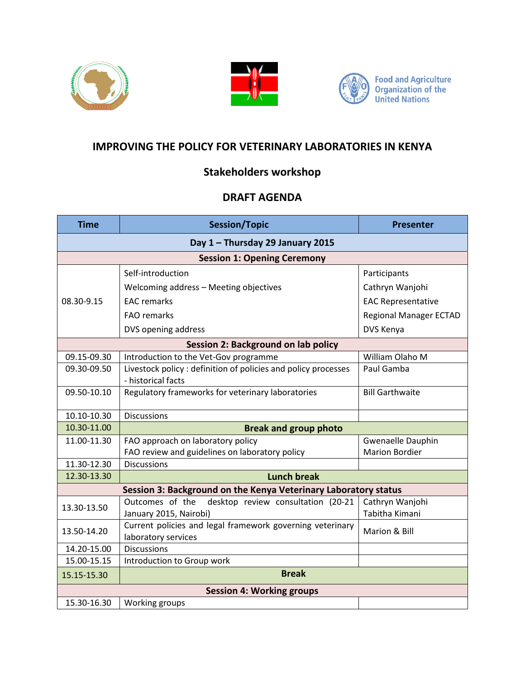





## **IMPROVING THE POLICY FOR VETERINARY LABORATORIES IN KENYA**

## **Stakeholders workshop**

## **DRAFT AGENDA**

| <b>Time</b>                         | <b>Session/Topic</b>                                                                | <b>Presenter</b>              |  |
|-------------------------------------|-------------------------------------------------------------------------------------|-------------------------------|--|
| Day 1 - Thursday 29 January 2015    |                                                                                     |                               |  |
| <b>Session 1: Opening Ceremony</b>  |                                                                                     |                               |  |
| 08.30-9.15                          | Self-introduction                                                                   | Participants                  |  |
|                                     | Welcoming address - Meeting objectives                                              | Cathryn Wanjohi               |  |
|                                     | <b>EAC</b> remarks                                                                  | <b>EAC Representative</b>     |  |
|                                     | <b>FAO</b> remarks                                                                  | <b>Regional Manager ECTAD</b> |  |
|                                     | DVS opening address                                                                 | DVS Kenya                     |  |
| Session 2: Background on lab policy |                                                                                     |                               |  |
| 09.15-09.30                         | Introduction to the Vet-Gov programme                                               | William Olaho M               |  |
| 09.30-09.50                         | Livestock policy: definition of policies and policy processes<br>- historical facts | Paul Gamba                    |  |
| 09.50-10.10                         | Regulatory frameworks for veterinary laboratories                                   | <b>Bill Garthwaite</b>        |  |
| 10.10-10.30                         | <b>Discussions</b>                                                                  |                               |  |
| 10.30-11.00                         | <b>Break and group photo</b>                                                        |                               |  |
| 11.00-11.30                         | FAO approach on laboratory policy                                                   | Gwenaelle Dauphin             |  |
|                                     | FAO review and guidelines on laboratory policy                                      | <b>Marion Bordier</b>         |  |
| 11.30-12.30                         | <b>Discussions</b>                                                                  |                               |  |
| 12.30-13.30                         | <b>Lunch break</b>                                                                  |                               |  |
|                                     | Session 3: Background on the Kenya Veterinary Laboratory status                     |                               |  |
| 13.30-13.50                         | Outcomes of the<br>desktop review consultation (20-21                               | Cathryn Wanjohi               |  |
|                                     | January 2015, Nairobi)                                                              | Tabitha Kimani                |  |
| 13.50-14.20                         | Current policies and legal framework governing veterinary                           | Marion & Bill                 |  |
|                                     | laboratory services                                                                 |                               |  |
| 14.20-15.00                         | <b>Discussions</b>                                                                  |                               |  |
| 15.00-15.15                         | Introduction to Group work                                                          |                               |  |
| 15.15-15.30                         | <b>Break</b>                                                                        |                               |  |
| <b>Session 4: Working groups</b>    |                                                                                     |                               |  |
| 15.30-16.30                         | Working groups                                                                      |                               |  |